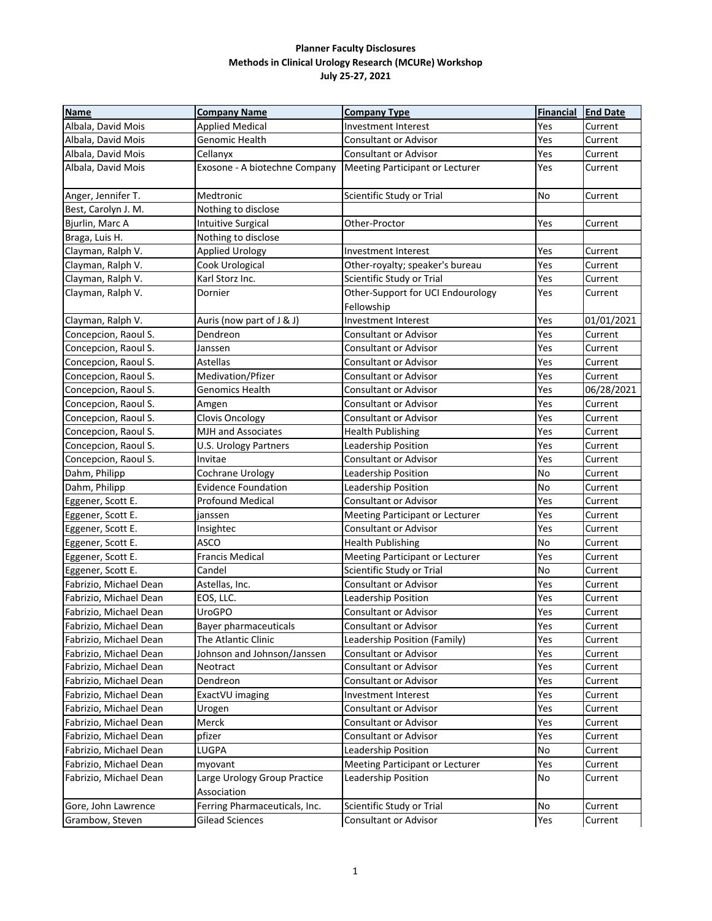| <b>Name</b>            | <b>Company Name</b>                         | <b>Company Type</b>                             | <b>Financial</b> | <b>End Date</b> |
|------------------------|---------------------------------------------|-------------------------------------------------|------------------|-----------------|
| Albala, David Mois     | <b>Applied Medical</b>                      | Investment Interest                             | Yes              | Current         |
| Albala, David Mois     | Genomic Health                              | <b>Consultant or Advisor</b>                    | Yes              | Current         |
| Albala, David Mois     | Cellanyx                                    | Consultant or Advisor                           | Yes              | Current         |
| Albala, David Mois     | Exosone - A biotechne Company               | Meeting Participant or Lecturer                 | Yes              | Current         |
| Anger, Jennifer T.     | Medtronic                                   | Scientific Study or Trial                       | No               | Current         |
| Best, Carolyn J. M.    | Nothing to disclose                         |                                                 |                  |                 |
| Bjurlin, Marc A        | Intuitive Surgical                          | Other-Proctor                                   | Yes              | Current         |
| Braga, Luis H.         | Nothing to disclose                         |                                                 |                  |                 |
| Clayman, Ralph V.      | <b>Applied Urology</b>                      | Investment Interest                             | Yes              | Current         |
| Clayman, Ralph V.      | Cook Urological                             | Other-royalty; speaker's bureau                 | Yes              | Current         |
| Clayman, Ralph V.      | Karl Storz Inc.                             | Scientific Study or Trial                       | Yes              | Current         |
| Clayman, Ralph V.      | Dornier                                     | Other-Support for UCI Endourology<br>Fellowship | Yes              | Current         |
| Clayman, Ralph V.      | Auris (now part of J & J)                   | <b>Investment Interest</b>                      | Yes              | 01/01/2021      |
| Concepcion, Raoul S.   | Dendreon                                    | <b>Consultant or Advisor</b>                    | Yes              | Current         |
| Concepcion, Raoul S.   | Janssen                                     | <b>Consultant or Advisor</b>                    | Yes              | Current         |
| Concepcion, Raoul S.   | <b>Astellas</b>                             | <b>Consultant or Advisor</b>                    | Yes              | Current         |
| Concepcion, Raoul S.   | Medivation/Pfizer                           | Consultant or Advisor                           | Yes              | Current         |
| Concepcion, Raoul S.   | Genomics Health                             | Consultant or Advisor                           | Yes              | 06/28/2021      |
| Concepcion, Raoul S.   | Amgen                                       | <b>Consultant or Advisor</b>                    | Yes              | Current         |
| Concepcion, Raoul S.   | Clovis Oncology                             | Consultant or Advisor                           | Yes              | Current         |
| Concepcion, Raoul S.   | <b>MJH and Associates</b>                   | <b>Health Publishing</b>                        | Yes              | Current         |
| Concepcion, Raoul S.   | U.S. Urology Partners                       | Leadership Position                             | Yes              | Current         |
| Concepcion, Raoul S.   | Invitae                                     | Consultant or Advisor                           | Yes              | Current         |
| Dahm, Philipp          | Cochrane Urology                            | Leadership Position                             | No               | Current         |
| Dahm, Philipp          | <b>Evidence Foundation</b>                  | Leadership Position                             | No               | Current         |
| Eggener, Scott E.      | <b>Profound Medical</b>                     | Consultant or Advisor                           | Yes              | Current         |
| Eggener, Scott E.      | janssen                                     | Meeting Participant or Lecturer                 | Yes              | Current         |
| Eggener, Scott E.      | Insightec                                   | Consultant or Advisor                           | Yes              | Current         |
| Eggener, Scott E.      | <b>ASCO</b>                                 | <b>Health Publishing</b>                        | No               | Current         |
| Eggener, Scott E.      | <b>Francis Medical</b>                      | Meeting Participant or Lecturer                 | Yes              | Current         |
| Eggener, Scott E.      | Candel                                      | Scientific Study or Trial                       | No               | Current         |
| Fabrizio, Michael Dean | Astellas, Inc.                              | Consultant or Advisor                           | Yes              | Current         |
| Fabrizio, Michael Dean | EOS, LLC.                                   | Leadership Position                             | Yes              | Current         |
| Fabrizio, Michael Dean | <b>UroGPO</b>                               | Consultant or Advisor                           | Yes              | Current         |
| Fabrizio, Michael Dean | <b>Bayer pharmaceuticals</b>                | Consultant or Advisor                           | Yes              | Current         |
| Fabrizio, Michael Dean | The Atlantic Clinic                         | Leadership Position (Family)                    | Yes              | Current         |
| Fabrizio, Michael Dean | Johnson and Johnson/Janssen                 | Consultant or Advisor                           | Yes              | Current         |
| Fabrizio, Michael Dean | Neotract                                    | Consultant or Advisor                           | Yes              | Current         |
| Fabrizio, Michael Dean | Dendreon                                    | Consultant or Advisor                           | Yes              | Current         |
| Fabrizio, Michael Dean | ExactVU imaging                             | <b>Investment Interest</b>                      | Yes              | Current         |
| Fabrizio, Michael Dean | Urogen                                      | Consultant or Advisor                           | Yes              | Current         |
| Fabrizio, Michael Dean | Merck                                       | Consultant or Advisor                           | Yes              | Current         |
| Fabrizio, Michael Dean | pfizer                                      | Consultant or Advisor                           | Yes              | Current         |
| Fabrizio, Michael Dean | LUGPA                                       | Leadership Position                             | No               | Current         |
| Fabrizio, Michael Dean | myovant                                     | Meeting Participant or Lecturer                 | Yes              | Current         |
| Fabrizio, Michael Dean | Large Urology Group Practice<br>Association | Leadership Position                             | No               | Current         |
| Gore, John Lawrence    | Ferring Pharmaceuticals, Inc.               | Scientific Study or Trial                       | No               | Current         |
| Grambow, Steven        | <b>Gilead Sciences</b>                      | Consultant or Advisor                           | Yes              | Current         |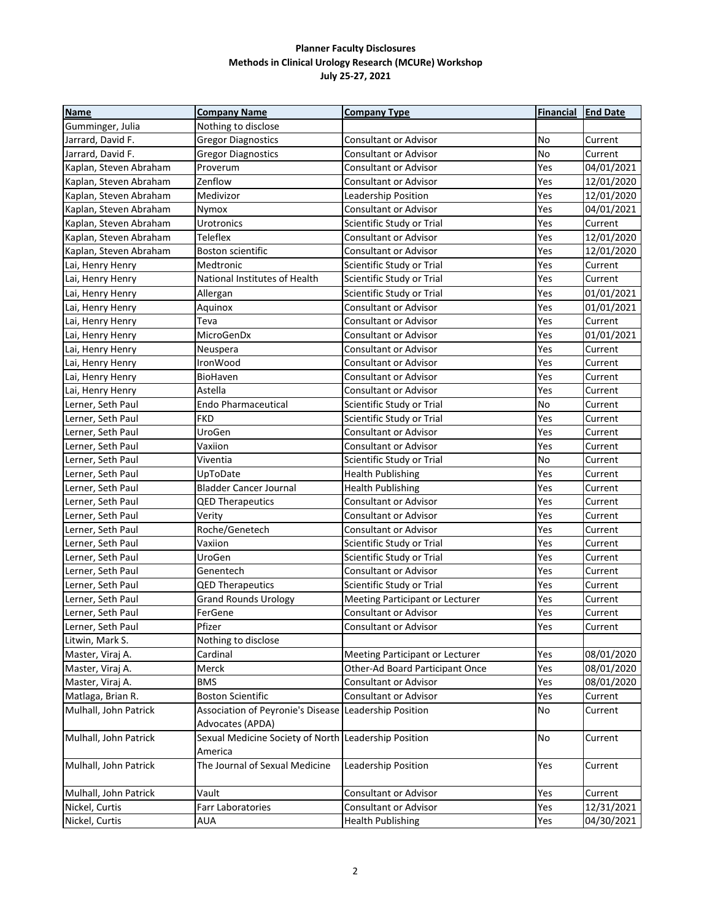| <b>Name</b>            | <b>Company Name</b>                                   | <b>Company Type</b>             | <b>Financial</b> | <b>End Date</b> |
|------------------------|-------------------------------------------------------|---------------------------------|------------------|-----------------|
| Gumminger, Julia       | Nothing to disclose                                   |                                 |                  |                 |
| Jarrard, David F.      | <b>Gregor Diagnostics</b>                             | Consultant or Advisor           | No               | Current         |
| Jarrard, David F.      | <b>Gregor Diagnostics</b>                             | <b>Consultant or Advisor</b>    | No               | Current         |
| Kaplan, Steven Abraham | Proverum                                              | <b>Consultant or Advisor</b>    | Yes              | 04/01/2021      |
| Kaplan, Steven Abraham | Zenflow                                               | <b>Consultant or Advisor</b>    | Yes              | 12/01/2020      |
| Kaplan, Steven Abraham | Medivizor                                             | Leadership Position             | Yes              | 12/01/2020      |
| Kaplan, Steven Abraham | Nymox                                                 | Consultant or Advisor           | Yes              | 04/01/2021      |
| Kaplan, Steven Abraham | Urotronics                                            | Scientific Study or Trial       | Yes              | Current         |
| Kaplan, Steven Abraham | Teleflex                                              | Consultant or Advisor           | Yes              | 12/01/2020      |
| Kaplan, Steven Abraham | Boston scientific                                     | <b>Consultant or Advisor</b>    | Yes              | 12/01/2020      |
| Lai, Henry Henry       | Medtronic                                             | Scientific Study or Trial       | Yes              | Current         |
| Lai, Henry Henry       | National Institutes of Health                         | Scientific Study or Trial       | Yes              | Current         |
| Lai, Henry Henry       | Allergan                                              | Scientific Study or Trial       | Yes              | 01/01/2021      |
| Lai, Henry Henry       | Aquinox                                               | <b>Consultant or Advisor</b>    | Yes              | 01/01/2021      |
| Lai, Henry Henry       | Teva                                                  | Consultant or Advisor           | Yes              | Current         |
| Lai, Henry Henry       | MicroGenDx                                            | Consultant or Advisor           | Yes              | 01/01/2021      |
| Lai, Henry Henry       | Neuspera                                              | Consultant or Advisor           | Yes              | Current         |
| Lai, Henry Henry       | IronWood                                              | Consultant or Advisor           | Yes              | Current         |
| Lai, Henry Henry       | BioHaven                                              | Consultant or Advisor           | Yes              | Current         |
| Lai, Henry Henry       | Astella                                               | Consultant or Advisor           | Yes              | Current         |
| Lerner, Seth Paul      | <b>Endo Pharmaceutical</b>                            | Scientific Study or Trial       | No               | Current         |
| Lerner, Seth Paul      | <b>FKD</b>                                            | Scientific Study or Trial       | Yes              | Current         |
| Lerner, Seth Paul      | UroGen                                                | <b>Consultant or Advisor</b>    | Yes              | Current         |
| Lerner, Seth Paul      | Vaxiion                                               | Consultant or Advisor           | Yes              | Current         |
| Lerner, Seth Paul      | Viventia                                              | Scientific Study or Trial       | No               | Current         |
| Lerner, Seth Paul      | UpToDate                                              | <b>Health Publishing</b>        | Yes              | Current         |
| Lerner, Seth Paul      | <b>Bladder Cancer Journal</b>                         | <b>Health Publishing</b>        | Yes              | Current         |
| Lerner, Seth Paul      | <b>QED Therapeutics</b>                               | Consultant or Advisor           | Yes              | Current         |
| Lerner, Seth Paul      | Verity                                                | Consultant or Advisor           | Yes              | Current         |
| Lerner, Seth Paul      | Roche/Genetech                                        | Consultant or Advisor           | Yes              | Current         |
| Lerner, Seth Paul      | Vaxiion                                               | Scientific Study or Trial       | Yes              | Current         |
| Lerner, Seth Paul      | UroGen                                                | Scientific Study or Trial       | Yes              | Current         |
| Lerner, Seth Paul      | Genentech                                             | <b>Consultant or Advisor</b>    | Yes              | Current         |
| Lerner, Seth Paul      | <b>QED Therapeutics</b>                               | Scientific Study or Trial       | Yes              | Current         |
| Lerner, Seth Paul      | <b>Grand Rounds Urology</b>                           | Meeting Participant or Lecturer | Yes              | Current         |
| Lerner, Seth Paul      | FerGene                                               | Consultant or Advisor           | Yes              | Current         |
| Lerner, Seth Paul      | Pfizer                                                | Consultant or Advisor           | Yes              | Current         |
| Litwin, Mark S.        | Nothing to disclose                                   |                                 |                  |                 |
| Master, Viraj A.       | Cardinal                                              | Meeting Participant or Lecturer | Yes              | 08/01/2020      |
| Master, Viraj A.       | Merck                                                 | Other-Ad Board Participant Once | Yes              | 08/01/2020      |
| Master, Viraj A.       | <b>BMS</b>                                            | Consultant or Advisor           | Yes              | 08/01/2020      |
| Matlaga, Brian R.      | <b>Boston Scientific</b>                              | Consultant or Advisor           | Yes              | Current         |
| Mulhall, John Patrick  | Association of Peyronie's Disease Leadership Position |                                 | No               | Current         |
|                        | Advocates (APDA)                                      |                                 |                  |                 |
| Mulhall, John Patrick  | Sexual Medicine Society of North Leadership Position  |                                 | <b>No</b>        | Current         |
|                        | America                                               |                                 |                  |                 |
| Mulhall, John Patrick  | The Journal of Sexual Medicine                        | Leadership Position             | Yes              | Current         |
|                        |                                                       |                                 |                  |                 |
| Mulhall, John Patrick  | Vault                                                 | Consultant or Advisor           | Yes              | Current         |
| Nickel, Curtis         | Farr Laboratories                                     | Consultant or Advisor           | Yes              | 12/31/2021      |
| Nickel, Curtis         | <b>AUA</b>                                            | <b>Health Publishing</b>        | Yes              | 04/30/2021      |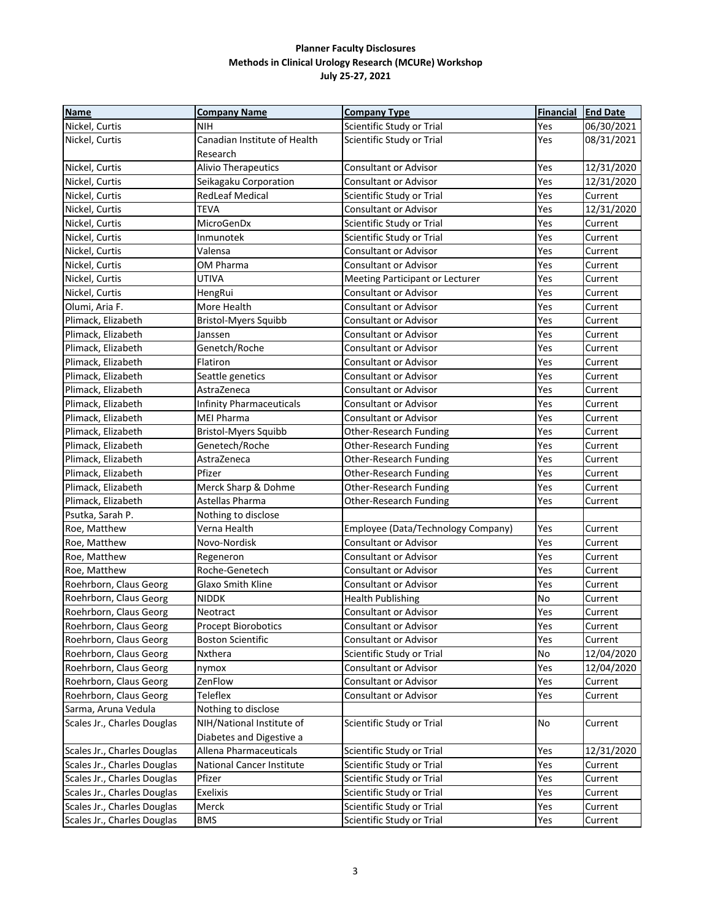| <b>Name</b>                 | <b>Company Name</b>              | <b>Company Type</b>                | <b>Financial</b> | <b>End Date</b> |
|-----------------------------|----------------------------------|------------------------------------|------------------|-----------------|
| Nickel, Curtis              | NIH                              | Scientific Study or Trial          | Yes              | 06/30/2021      |
| Nickel, Curtis              | Canadian Institute of Health     | Scientific Study or Trial          | Yes              | 08/31/2021      |
|                             | Research                         |                                    |                  |                 |
| Nickel, Curtis              | <b>Alivio Therapeutics</b>       | <b>Consultant or Advisor</b>       | Yes              | 12/31/2020      |
| Nickel, Curtis              | Seikagaku Corporation            | <b>Consultant or Advisor</b>       | Yes              | 12/31/2020      |
| Nickel, Curtis              | <b>RedLeaf Medical</b>           | Scientific Study or Trial          | Yes              | Current         |
| Nickel, Curtis              | <b>TEVA</b>                      | Consultant or Advisor              | Yes              | 12/31/2020      |
| Nickel, Curtis              | MicroGenDx                       | Scientific Study or Trial          | Yes              | Current         |
| Nickel, Curtis              | Inmunotek                        | Scientific Study or Trial          | Yes              | Current         |
| Nickel, Curtis              | Valensa                          | <b>Consultant or Advisor</b>       | Yes              | Current         |
| Nickel, Curtis              | OM Pharma                        | <b>Consultant or Advisor</b>       | Yes              | Current         |
| Nickel, Curtis              | <b>UTIVA</b>                     | Meeting Participant or Lecturer    | Yes              | Current         |
| Nickel, Curtis              | HengRui                          | Consultant or Advisor              | Yes              | Current         |
| Olumi, Aria F.              | More Health                      | <b>Consultant or Advisor</b>       | Yes              | Current         |
| Plimack, Elizabeth          | <b>Bristol-Myers Squibb</b>      | <b>Consultant or Advisor</b>       | Yes              | Current         |
| Plimack, Elizabeth          | Janssen                          | <b>Consultant or Advisor</b>       | Yes              | Current         |
| Plimack, Elizabeth          | Genetch/Roche                    | <b>Consultant or Advisor</b>       | Yes              | Current         |
| Plimack, Elizabeth          | Flatiron                         | <b>Consultant or Advisor</b>       | Yes              | Current         |
| Plimack, Elizabeth          | Seattle genetics                 | Consultant or Advisor              | Yes              | Current         |
| Plimack, Elizabeth          | AstraZeneca                      | Consultant or Advisor              | Yes              | Current         |
| Plimack, Elizabeth          | <b>Infinity Pharmaceuticals</b>  | Consultant or Advisor              | Yes              | Current         |
| Plimack, Elizabeth          | <b>MEI Pharma</b>                | Consultant or Advisor              | Yes              | Current         |
| Plimack, Elizabeth          | <b>Bristol-Myers Squibb</b>      | Other-Research Funding             | Yes              | Current         |
| Plimack, Elizabeth          | Genetech/Roche                   | Other-Research Funding             | Yes              | Current         |
| Plimack, Elizabeth          | AstraZeneca                      | Other-Research Funding             | Yes              | Current         |
| Plimack, Elizabeth          | Pfizer                           | Other-Research Funding             | Yes              | Current         |
| Plimack, Elizabeth          | Merck Sharp & Dohme              | Other-Research Funding             | Yes              | Current         |
| Plimack, Elizabeth          | Astellas Pharma                  | Other-Research Funding             | Yes              | Current         |
| Psutka, Sarah P.            | Nothing to disclose              |                                    |                  |                 |
| Roe, Matthew                | Verna Health                     | Employee (Data/Technology Company) | Yes              | Current         |
| Roe, Matthew                | Novo-Nordisk                     | <b>Consultant or Advisor</b>       | Yes              | Current         |
| Roe, Matthew                | Regeneron                        | <b>Consultant or Advisor</b>       | Yes              | Current         |
| Roe, Matthew                | Roche-Genetech                   | Consultant or Advisor              | Yes              | Current         |
| Roehrborn, Claus Georg      | Glaxo Smith Kline                | Consultant or Advisor              | Yes              | Current         |
| Roehrborn, Claus Georg      | <b>NIDDK</b>                     | <b>Health Publishing</b>           | No               | Current         |
| Roehrborn, Claus Georg      | Neotract                         | Consultant or Advisor              | Yes              | Current         |
| Roehrborn, Claus Georg      | Procept Biorobotics              | Consultant or Advisor              | Yes              | Current         |
| Roehrborn, Claus Georg      | <b>Boston Scientific</b>         | Consultant or Advisor              | Yes              | Current         |
| Roehrborn, Claus Georg      | Nxthera                          | Scientific Study or Trial          | No               | 12/04/2020      |
| Roehrborn, Claus Georg      | nymox                            | <b>Consultant or Advisor</b>       | Yes              | 12/04/2020      |
| Roehrborn, Claus Georg      | ZenFlow                          | <b>Consultant or Advisor</b>       | Yes              | Current         |
| Roehrborn, Claus Georg      | Teleflex                         | <b>Consultant or Advisor</b>       | Yes              | Current         |
| Sarma, Aruna Vedula         | Nothing to disclose              |                                    |                  |                 |
| Scales Jr., Charles Douglas | NIH/National Institute of        | Scientific Study or Trial          | No               | Current         |
|                             | Diabetes and Digestive a         |                                    |                  |                 |
| Scales Jr., Charles Douglas | Allena Pharmaceuticals           | Scientific Study or Trial          | Yes              | 12/31/2020      |
| Scales Jr., Charles Douglas | <b>National Cancer Institute</b> | Scientific Study or Trial          | Yes              | Current         |
| Scales Jr., Charles Douglas | Pfizer                           | Scientific Study or Trial          | Yes              | Current         |
| Scales Jr., Charles Douglas | Exelixis                         | Scientific Study or Trial          | Yes              | Current         |
| Scales Jr., Charles Douglas | Merck                            | Scientific Study or Trial          | Yes              | Current         |
| Scales Jr., Charles Douglas | <b>BMS</b>                       | Scientific Study or Trial          | Yes              | Current         |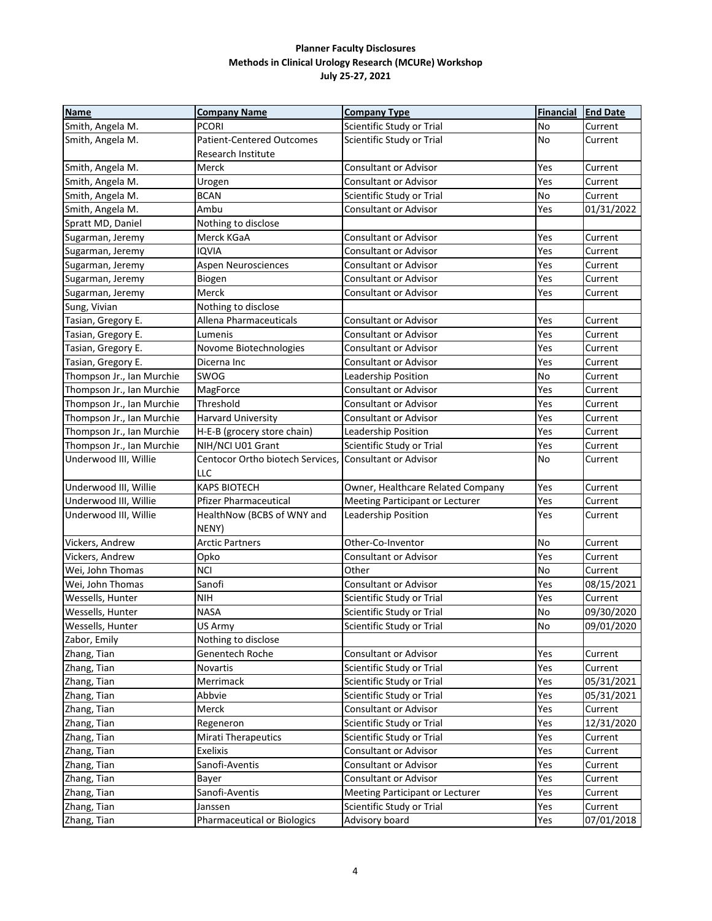| <b>Name</b>               | <b>Company Name</b>                | <b>Company Type</b>               | <b>Financial</b> | <b>End Date</b> |
|---------------------------|------------------------------------|-----------------------------------|------------------|-----------------|
| Smith, Angela M.          | <b>PCORI</b>                       | Scientific Study or Trial         | No               | Current         |
| Smith, Angela M.          | <b>Patient-Centered Outcomes</b>   | Scientific Study or Trial         | No               | Current         |
|                           | Research Institute                 |                                   |                  |                 |
| Smith, Angela M.          | Merck                              | <b>Consultant or Advisor</b>      | Yes              | Current         |
| Smith, Angela M.          | Urogen                             | Consultant or Advisor             | Yes              | Current         |
| Smith, Angela M.          | <b>BCAN</b>                        | Scientific Study or Trial         | No               | Current         |
| Smith, Angela M.          | Ambu                               | Consultant or Advisor             | Yes              | 01/31/2022      |
| Spratt MD, Daniel         | Nothing to disclose                |                                   |                  |                 |
| Sugarman, Jeremy          | Merck KGaA                         | <b>Consultant or Advisor</b>      | Yes              | Current         |
| Sugarman, Jeremy          | <b>IQVIA</b>                       | Consultant or Advisor             | Yes              | Current         |
| Sugarman, Jeremy          | Aspen Neurosciences                | Consultant or Advisor             | Yes              | Current         |
| Sugarman, Jeremy          | Biogen                             | Consultant or Advisor             | Yes              | Current         |
| Sugarman, Jeremy          | Merck                              | <b>Consultant or Advisor</b>      | Yes              | Current         |
| Sung, Vivian              | Nothing to disclose                |                                   |                  |                 |
| Tasian, Gregory E.        | Allena Pharmaceuticals             | <b>Consultant or Advisor</b>      | Yes              | Current         |
| Tasian, Gregory E.        | Lumenis                            | <b>Consultant or Advisor</b>      | Yes              | Current         |
| Tasian, Gregory E.        | Novome Biotechnologies             | <b>Consultant or Advisor</b>      | Yes              | Current         |
| Tasian, Gregory E.        | Dicerna Inc                        | <b>Consultant or Advisor</b>      | Yes              | Current         |
| Thompson Jr., Ian Murchie | SWOG                               | Leadership Position               | No               | Current         |
| Thompson Jr., Ian Murchie | MagForce                           | Consultant or Advisor             | Yes              | Current         |
| Thompson Jr., Ian Murchie | Threshold                          | <b>Consultant or Advisor</b>      | Yes              | Current         |
| Thompson Jr., Ian Murchie | Harvard University                 | Consultant or Advisor             | Yes              | Current         |
| Thompson Jr., Ian Murchie | H-E-B (grocery store chain)        | <b>Leadership Position</b>        | Yes              | Current         |
| Thompson Jr., Ian Murchie | NIH/NCI U01 Grant                  | Scientific Study or Trial         | Yes              | Current         |
| Underwood III, Willie     | Centocor Ortho biotech Services,   | <b>Consultant or Advisor</b>      | No               | Current         |
|                           | LLC                                |                                   |                  |                 |
| Underwood III, Willie     | <b>KAPS BIOTECH</b>                | Owner, Healthcare Related Company | Yes              | Current         |
| Underwood III, Willie     | Pfizer Pharmaceutical              | Meeting Participant or Lecturer   | Yes              | Current         |
| Underwood III, Willie     | HealthNow (BCBS of WNY and         | Leadership Position               | Yes              | Current         |
|                           | NENY)                              |                                   |                  |                 |
| Vickers, Andrew           | <b>Arctic Partners</b>             | Other-Co-Inventor                 | No               | Current         |
| Vickers, Andrew           | Opko                               | Consultant or Advisor             | Yes              | Current         |
| Wei, John Thomas          | <b>NCI</b>                         | Other                             | <b>No</b>        | Current         |
| Wei, John Thomas          | Sanofi                             | Consultant or Advisor             | Yes              | 08/15/2021      |
| Wessells, Hunter          | <b>NIH</b>                         | Scientific Study or Trial         | Yes              | Current         |
| Wessells, Hunter          | NASA                               | Scientific Study or Trial         | No               | 09/30/2020      |
| Wessells, Hunter          | US Army                            | Scientific Study or Trial         | No               | 09/01/2020      |
| Zabor, Emily              | Nothing to disclose                |                                   |                  |                 |
| Zhang, Tian               | Genentech Roche                    | Consultant or Advisor             | Yes              | Current         |
| Zhang, Tian               | Novartis                           | Scientific Study or Trial         | Yes              | Current         |
| Zhang, Tian               | Merrimack                          | Scientific Study or Trial         | Yes              | 05/31/2021      |
| Zhang, Tian               | Abbvie                             | Scientific Study or Trial         | Yes              | 05/31/2021      |
| Zhang, Tian               | Merck                              | <b>Consultant or Advisor</b>      | Yes              | Current         |
| Zhang, Tian               | Regeneron                          | Scientific Study or Trial         | Yes              | 12/31/2020      |
| Zhang, Tian               | <b>Mirati Therapeutics</b>         | Scientific Study or Trial         | Yes              | Current         |
| Zhang, Tian               | <b>Exelixis</b>                    | Consultant or Advisor             | Yes              | Current         |
| Zhang, Tian               | Sanofi-Aventis                     | Consultant or Advisor             | Yes              | Current         |
| Zhang, Tian               | Bayer                              | Consultant or Advisor             | Yes              | Current         |
| Zhang, Tian               | Sanofi-Aventis                     | Meeting Participant or Lecturer   | Yes              | Current         |
| Zhang, Tian               | Janssen                            | Scientific Study or Trial         | Yes              | Current         |
| Zhang, Tian               | <b>Pharmaceutical or Biologics</b> | Advisory board                    | Yes              | 07/01/2018      |